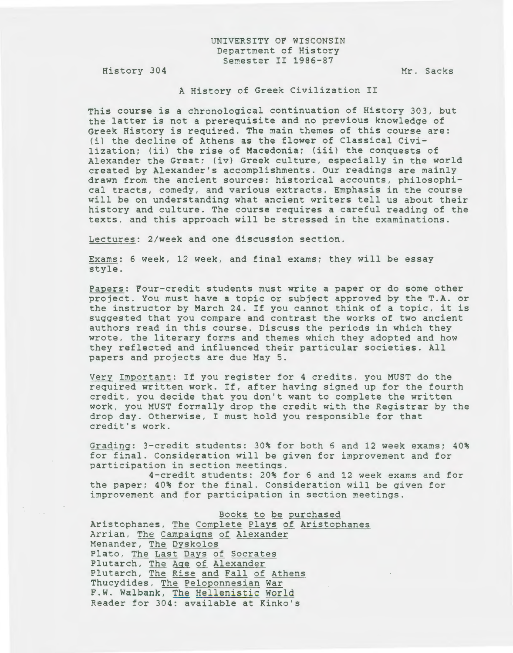## UNIVERSITY OF WISCONSIN Department of History Semester II 1986-87

History 304

 $\mathcal{N}^{\text{max}}_{\text{max}}$ 

Mr. Sacks

## A History of Greek Civilization II

This course is a chronological continuation of History 303, but the latter is not a prerequisite and no previous knowledge of Greek History is required. The main themes of this course are: (i) the decline of Athens as the flower of Classical Civilization; (ii) the rise of Macedonia; (iii) the conquests of Alexander the Great; (iv) Greek culture, especially in the world created by Alexander's accomplishments. Our readings are mainly drawn from the ancient sources: historical accounts, philosophical tracts, comedy, and various extracts. Emphasis in the course will be on understanding what ancient writers tell us about their history and culture. The course requires a careful reading of the texts, and this approach will be stressed in the examinations.

Lectures: 2/week and one discussion section.

Exams: 6 week, 12 week, and final exams; they will be essay style.

Papers: Four-credit students must write a paper or do some other project. You must have a topic or subject approved by the T.A. or the instructor by March 24. If you cannot think of a topic, it is suggested that you compare and contrast the works of two ancient authors read in this course. Discuss the periods in which they wrote, the literary forms and themes which they adopted and how they reflected and influenced their particular societies. All papers and projects are due May 5.

Very Important: If you register for 4 credits, you MUST do the required written work. If, after having signed up for the fourth credit, you decide that you don't want to complete the written work, you MUST formally drop the credit with the Registrar by the drop day. Otherwise, I must hold you responsible for that credit's work.

Grading: 3-credit students: 30% for both 6 and 12 week exams; 40% for final. Consideration will be given for improvement and for participation in section meetings.

4-credit students: 20% for 6 and 12 week exams and for the paper; 40% for the final. Consideration will be given for improvement and for participation in section meetings.

Books to be purchased Aristophanes, The Complete Plays of Aristophanes Arrian, The Campaigns of Alexander Menander, The Dyskolos Plato, The Last Days of Socrates Plutarch, The Age of Alexander Plutarch, The Rise and Fall of Athens Thucydides, The Peloponnesian War F.W. Walbank, The Hellenistic World Reader for 304: available at Kinko's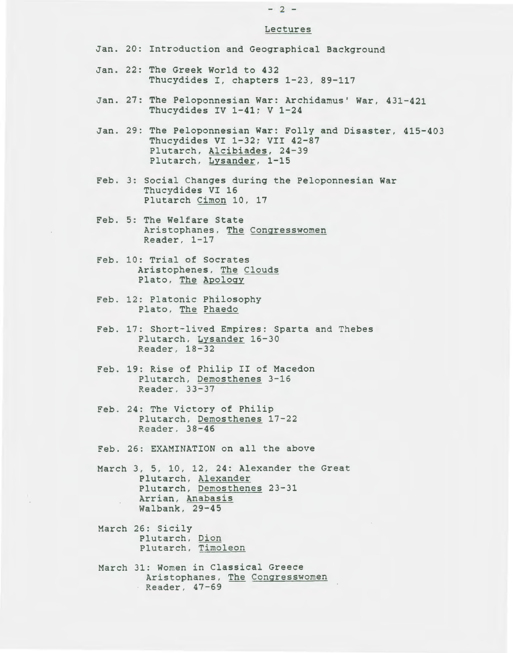## $- 2 -$

## Lectures

- Jan. 20: Introduction and Geographical Background
- Jan. 22: The Greek World to 432 Thucydides I, chapters 1-23, 89-117
- Jan. 27: The Peloponnesian War: Archidamus' War, 431-421 Thucydides IV 1-41; V 1-24
- Jan. 29: The Peloponnesian War: Folly and Disaster, 415-403 Thucydides VI 1-32; VII 42-87 Plutarch, Alcibiades, 24-39 Plutarch, Lysander, 1-15
- Feb. 3: Social Changes during the Peloponnesian War Thucydides VI 16 Plutarch Cimon 10, 17
- Feb. 5: The Welfare State Aristophanes, The Congresswomen Reader, 1-17
- Feb. 10: Trial of Socrates Aristophenes, The Clouds Plato, The Apology
- Feb. 12: Platonic Philosophy Plato, The Phaedo
- Feb. 17: Short-lived Empires: Sparta and Thebes Plutarch, Lysander 16-30 Reader, 18-32
- Feb. 19: Rise of Philip II of Macedon Plutarch, Demosthenes 3-16 Reader, 33-37
- Feb. 24: The Victory of Philip Plutarch, Demosthenes 17-22 Reader, 38-46

Feb. 26: EXAMINATION on all the above

- March 3, 5, 10, 12, 24: Alexander the Great Plutarch, Alexander Plutarch, Demosthenes 23-31 Arrian, Anabasis Walbank, 29-45
- March 26: Sicily Plutarch, Dion Plutarch, Timoleon
- March 31: Women in Classical Greece Aristophanes, The Congresswomen Reader, 47-69